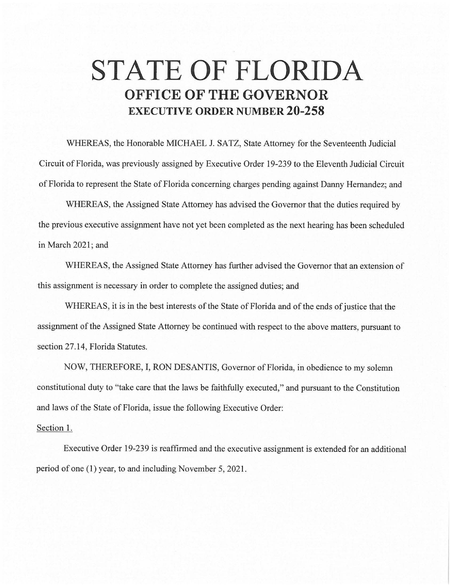## **STATE OF FLORIDA OFFICE OF THE GOVERNOR EXECUTIVE ORDER NUMBER 20-258**

WHEREAS, the Honorable MICHAEL J. SATZ, State Attorney for the Seventeenth Judicial Circuit of Florida, was previously assigned by Executive Order 19-239 to the Eleventh Judicial Circuit of Florida to represent the State of Florida concerning charges pending against Danny Hernandez; and

WHEREAS, the Assigned State Attorney has advised the Governor that the duties required by the previous executive assignment have not yet been completed as the next hearing has been scheduled in March 2021; and

WHEREAS, the Assigned State Attorney has further advised the Governor that an extension of this assignment is necessary in order to complete the assigned duties; and

WHEREAS, it is in the best interests of the State of Florida and of the ends of justice that the assignment of the Assigned State Attorney be continued with respect to the above matters, pursuant to section 27.14, Florida Statutes.

NOW, THEREFORE, I, RON DESANTIS, Governor of Florida, in obedience to my solemn constitutional duty to "take care that the laws be faithfully executed," and pursuant to the Constitution and laws of the State of Florida, issue the following Executive Order:

## Section 1.

Executive Order 19-239 is reaffirmed and the executive assignment is extended for an additional period of one (1) year, to and including November 5, 2021.